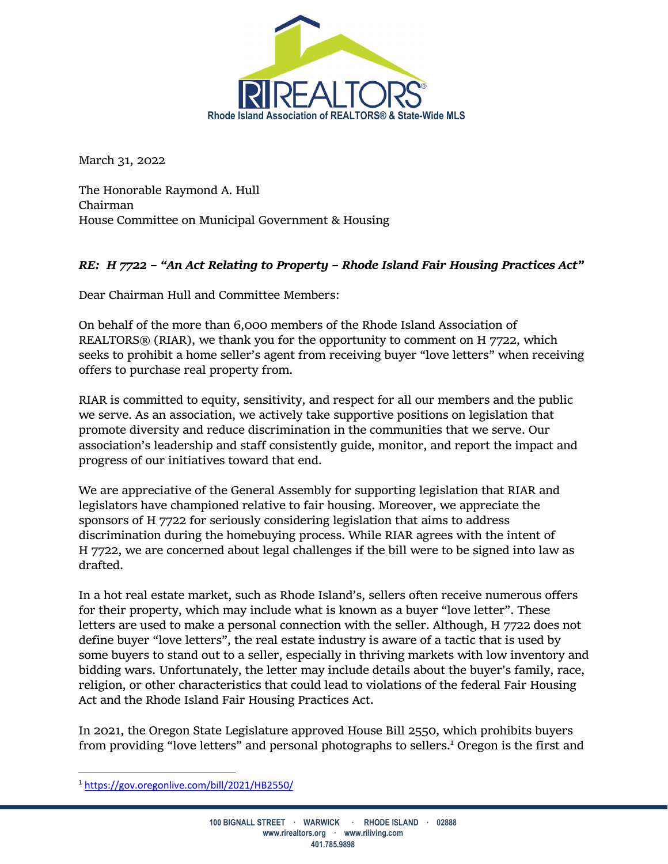

March 31, 2022

The Honorable Raymond A. Hull Chairman House Committee on Municipal Government & Housing

## *RE: H 7722 – "An Act Relating to Property – Rhode Island Fair Housing Practices Act"*

Dear Chairman Hull and Committee Members:

On behalf of the more than 6,000 members of the Rhode Island Association of REALTORS® (RIAR), we thank you for the opportunity to comment on H 7722, which seeks to prohibit a home seller's agent from receiving buyer "love letters" when receiving offers to purchase real property from.

RIAR is committed to equity, sensitivity, and respect for all our members and the public we serve. As an association, we actively take supportive positions on legislation that promote diversity and reduce discrimination in the communities that we serve. Our association's leadership and staff consistently guide, monitor, and report the impact and progress of our initiatives toward that end.

We are appreciative of the General Assembly for supporting legislation that RIAR and legislators have championed relative to fair housing. Moreover, we appreciate the sponsors of H 7722 for seriously considering legislation that aims to address discrimination during the homebuying process. While RIAR agrees with the intent of H 7722, we are concerned about legal challenges if the bill were to be signed into law as drafted.

In a hot real estate market, such as Rhode Island's, sellers often receive numerous offers for their property, which may include what is known as a buyer "love letter". These letters are used to make a personal connection with the seller. Although, H 7722 does not define buyer "love letters", the real estate industry is aware of a tactic that is used by some buyers to stand out to a seller, especially in thriving markets with low inventory and bidding wars. Unfortunately, the letter may include details about the buyer's family, race, religion, or other characteristics that could lead to violations of the federal Fair Housing Act and the Rhode Island Fair Housing Practices Act.

In 2021, the Oregon State Legislature approved House Bill 2550, which prohibits buyers from providing "love letters" and personal photographs to sellers.<sup>1</sup> Oregon is the first and

<sup>1</sup> https://gov.oregonlive.com/bill/2021/HB2550/